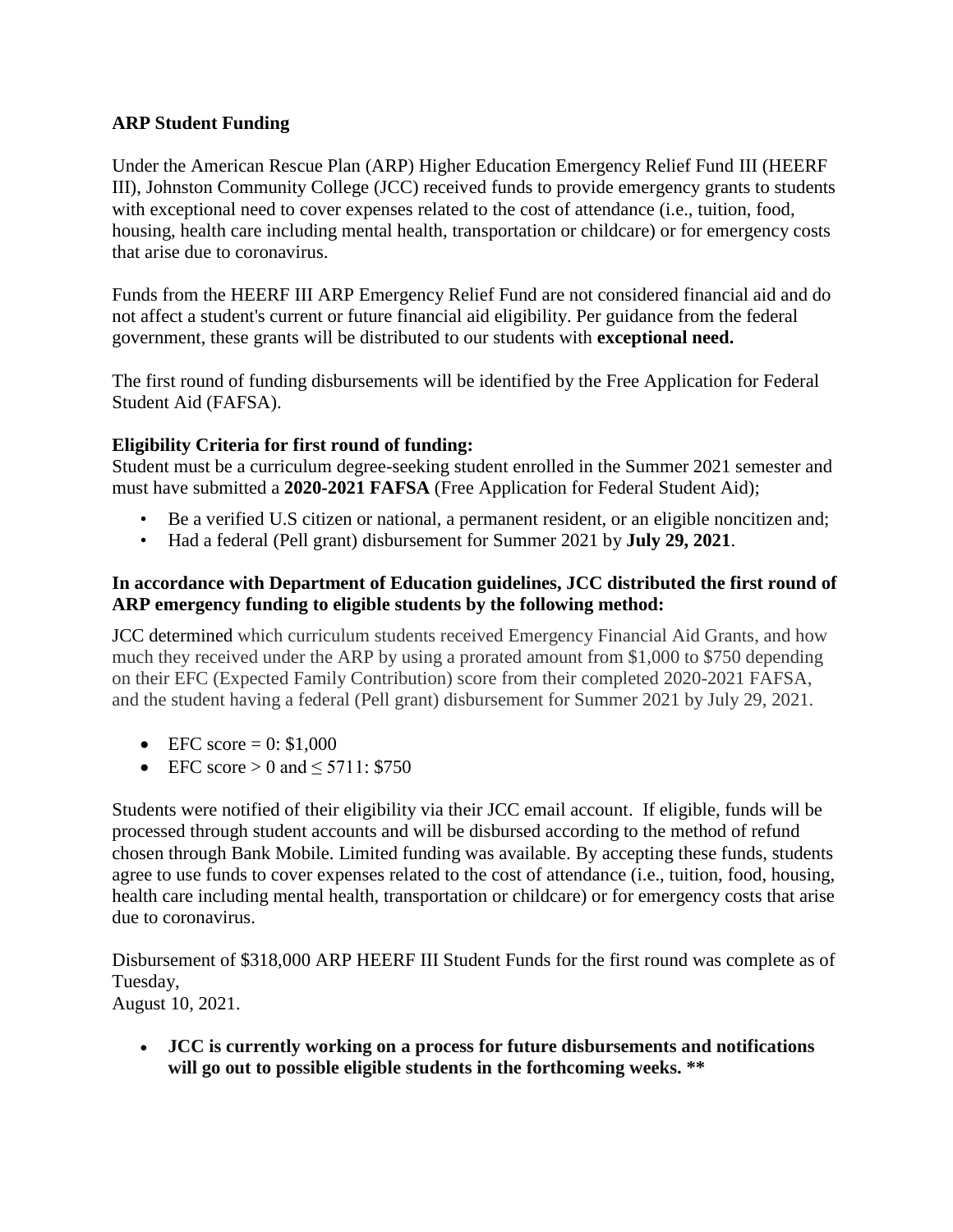## **ARP Student Funding**

Under the American Rescue Plan (ARP) Higher Education Emergency Relief Fund III (HEERF III), Johnston Community College (JCC) received funds to provide emergency grants to students with exceptional need to cover expenses related to the cost of attendance (i.e., tuition, food, housing, health care including mental health, transportation or childcare) or for emergency costs that arise due to coronavirus.

Funds from the HEERF III ARP Emergency Relief Fund are not considered financial aid and do not affect a student's current or future financial aid eligibility. Per guidance from the federal government, these grants will be distributed to our students with **exceptional need.**

The first round of funding disbursements will be identified by the Free Application for Federal Student Aid (FAFSA).

## **Eligibility Criteria for first round of funding:**

Student must be a curriculum degree-seeking student enrolled in the Summer 2021 semester and must have submitted a **2020-2021 FAFSA** (Free Application for Federal Student Aid);

- Be a verified U.S citizen or national, a permanent resident, or an eligible noncitizen and;
- Had a federal (Pell grant) disbursement for Summer 2021 by **July 29, 2021**.

## **In accordance with Department of Education guidelines, JCC distributed the first round of ARP emergency funding to eligible students by the following method:**

JCC determined which curriculum students received Emergency Financial Aid Grants, and how much they received under the ARP by using a prorated amount from \$1,000 to \$750 depending on their EFC (Expected Family Contribution) score from their completed 2020-2021 FAFSA, and the student having a federal (Pell grant) disbursement for Summer 2021 by July 29, 2021.

- EFC score =  $0: $1,000$
- EFC score  $> 0$  and  $\leq 5711: $750$

Students were notified of their eligibility via their JCC email account. If eligible, funds will be processed through student accounts and will be disbursed according to the method of refund chosen through Bank Mobile. Limited funding was available. By accepting these funds, students agree to use funds to cover expenses related to the cost of attendance (i.e., tuition, food, housing, health care including mental health, transportation or childcare) or for emergency costs that arise due to coronavirus.

Disbursement of \$318,000 ARP HEERF III Student Funds for the first round was complete as of Tuesday,

August 10, 2021.

• **JCC is currently working on a process for future disbursements and notifications will go out to possible eligible students in the forthcoming weeks. \*\***